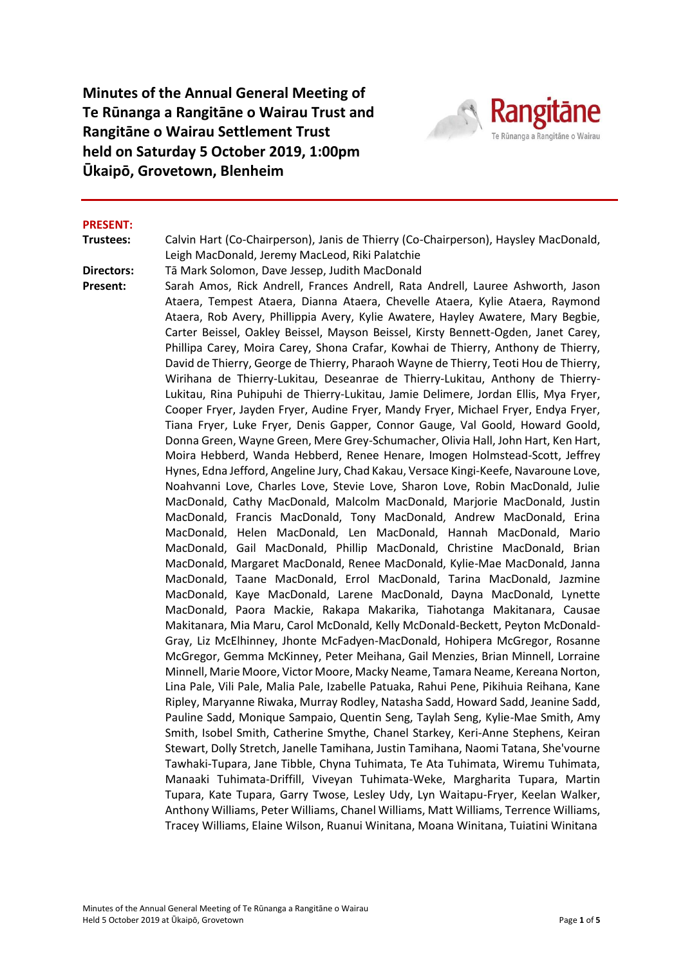**Minutes of the Annual General Meeting of Te Rūnanga a Rangitāne o Wairau Trust and Rangitāne o Wairau Settlement Trust held on Saturday 5 October 2019, 1:00pm Ūkaipō, Grovetown, Blenheim**



#### **PRESENT:**

**Trustees:** Calvin Hart (Co-Chairperson), Janis de Thierry (Co-Chairperson), Haysley MacDonald, Leigh MacDonald, Jeremy MacLeod, Riki Palatchie

**Directors:** Tā Mark Solomon, Dave Jessep, Judith MacDonald

**Present:** Sarah Amos, Rick Andrell, Frances Andrell, Rata Andrell, Lauree Ashworth, Jason Ataera, Tempest Ataera, Dianna Ataera, Chevelle Ataera, Kylie Ataera, Raymond Ataera, Rob Avery, Phillippia Avery, Kylie Awatere, Hayley Awatere, Mary Begbie, Carter Beissel, Oakley Beissel, Mayson Beissel, Kirsty Bennett-Ogden, Janet Carey, Phillipa Carey, Moira Carey, Shona Crafar, Kowhai de Thierry, Anthony de Thierry, David de Thierry, George de Thierry, Pharaoh Wayne de Thierry, Teoti Hou de Thierry, Wirihana de Thierry-Lukitau, Deseanrae de Thierry-Lukitau, Anthony de Thierry-Lukitau, Rina Puhipuhi de Thierry-Lukitau, Jamie Delimere, Jordan Ellis, Mya Fryer, Cooper Fryer, Jayden Fryer, Audine Fryer, Mandy Fryer, Michael Fryer, Endya Fryer, Tiana Fryer, Luke Fryer, Denis Gapper, Connor Gauge, Val Goold, Howard Goold, Donna Green, Wayne Green, Mere Grey-Schumacher, Olivia Hall, John Hart, Ken Hart, Moira Hebberd, Wanda Hebberd, Renee Henare, Imogen Holmstead-Scott, Jeffrey Hynes, Edna Jefford, Angeline Jury, Chad Kakau, Versace Kingi-Keefe, Navaroune Love, Noahvanni Love, Charles Love, Stevie Love, Sharon Love, Robin MacDonald, Julie MacDonald, Cathy MacDonald, Malcolm MacDonald, Marjorie MacDonald, Justin MacDonald, Francis MacDonald, Tony MacDonald, Andrew MacDonald, Erina MacDonald, Helen MacDonald, Len MacDonald, Hannah MacDonald, Mario MacDonald, Gail MacDonald, Phillip MacDonald, Christine MacDonald, Brian MacDonald, Margaret MacDonald, Renee MacDonald, Kylie-Mae MacDonald, Janna MacDonald, Taane MacDonald, Errol MacDonald, Tarina MacDonald, Jazmine MacDonald, Kaye MacDonald, Larene MacDonald, Dayna MacDonald, Lynette MacDonald, Paora Mackie, Rakapa Makarika, Tiahotanga Makitanara, Causae Makitanara, Mia Maru, Carol McDonald, Kelly McDonald-Beckett, Peyton McDonald-Gray, Liz McElhinney, Jhonte McFadyen-MacDonald, Hohipera McGregor, Rosanne McGregor, Gemma McKinney, Peter Meihana, Gail Menzies, Brian Minnell, Lorraine Minnell, Marie Moore, Victor Moore, Macky Neame, Tamara Neame, Kereana Norton, Lina Pale, Vili Pale, Malia Pale, Izabelle Patuaka, Rahui Pene, Pikihuia Reihana, Kane Ripley, Maryanne Riwaka, Murray Rodley, Natasha Sadd, Howard Sadd, Jeanine Sadd, Pauline Sadd, Monique Sampaio, Quentin Seng, Taylah Seng, Kylie-Mae Smith, Amy Smith, Isobel Smith, Catherine Smythe, Chanel Starkey, Keri-Anne Stephens, Keiran Stewart, Dolly Stretch, Janelle Tamihana, Justin Tamihana, Naomi Tatana, She'vourne Tawhaki-Tupara, Jane Tibble, Chyna Tuhimata, Te Ata Tuhimata, Wiremu Tuhimata, Manaaki Tuhimata-Driffill, Viveyan Tuhimata-Weke, Margharita Tupara, Martin Tupara, Kate Tupara, Garry Twose, Lesley Udy, Lyn Waitapu-Fryer, Keelan Walker, Anthony Williams, Peter Williams, Chanel Williams, Matt Williams, Terrence Williams, Tracey Williams, Elaine Wilson, Ruanui Winitana, Moana Winitana, Tuiatini Winitana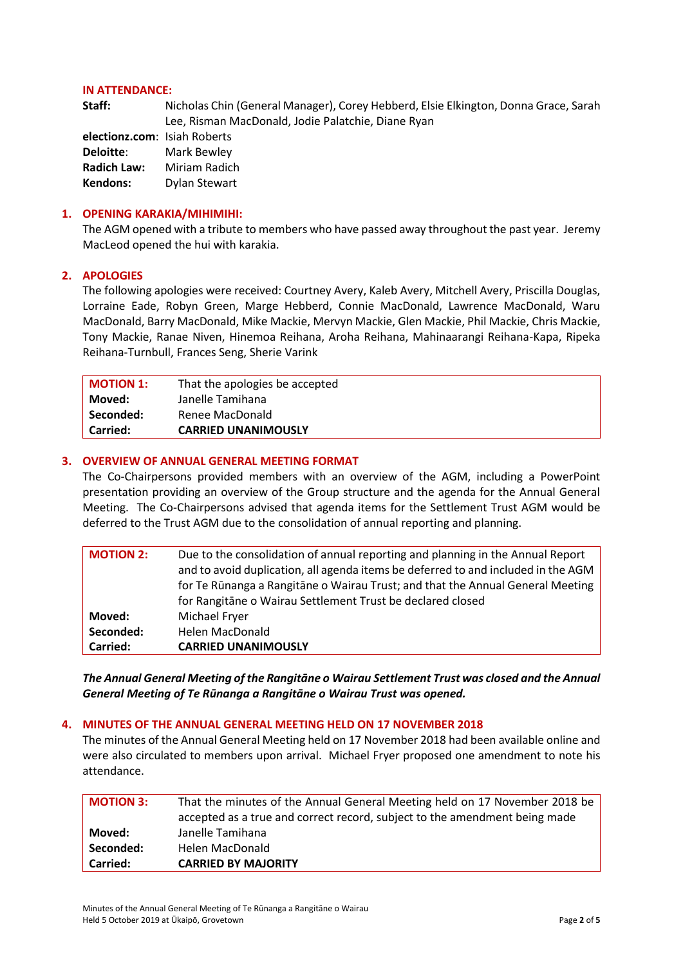#### **IN ATTENDANCE:**

| Staff:             | Nicholas Chin (General Manager), Corey Hebberd, Elsie Elkington, Donna Grace, Sarah |
|--------------------|-------------------------------------------------------------------------------------|
|                    | Lee, Risman MacDonald, Jodie Palatchie, Diane Ryan                                  |
|                    | electionz.com: Isiah Roberts                                                        |
| Deloitte:          | Mark Bewley                                                                         |
| <b>Radich Law:</b> | Miriam Radich                                                                       |
| Kendons:           | Dylan Stewart                                                                       |
|                    |                                                                                     |
|                    |                                                                                     |

### **1. OPENING KARAKIA/MIHIMIHI:**

The AGM opened with a tribute to members who have passed away throughout the past year. Jeremy MacLeod opened the hui with karakia.

#### **2. APOLOGIES**

The following apologies were received: Courtney Avery, Kaleb Avery, Mitchell Avery, Priscilla Douglas, Lorraine Eade, Robyn Green, Marge Hebberd, Connie MacDonald, Lawrence MacDonald, Waru MacDonald, Barry MacDonald, Mike Mackie, Mervyn Mackie, Glen Mackie, Phil Mackie, Chris Mackie, Tony Mackie, Ranae Niven, Hinemoa Reihana, Aroha Reihana, Mahinaarangi Reihana-Kapa, Ripeka Reihana-Turnbull, Frances Seng, Sherie Varink

| <b>MOTION 1:</b> | That the apologies be accepted |
|------------------|--------------------------------|
| Moved:           | Janelle Tamihana               |
| Seconded:        | Renee MacDonald                |
| <b>Carried:</b>  | <b>CARRIED UNANIMOUSLY</b>     |

### **3. OVERVIEW OF ANNUAL GENERAL MEETING FORMAT**

The Co-Chairpersons provided members with an overview of the AGM, including a PowerPoint presentation providing an overview of the Group structure and the agenda for the Annual General Meeting. The Co-Chairpersons advised that agenda items for the Settlement Trust AGM would be deferred to the Trust AGM due to the consolidation of annual reporting and planning.

| <b>MOTION 2:</b> | Due to the consolidation of annual reporting and planning in the Annual Report<br>and to avoid duplication, all agenda items be deferred to and included in the AGM<br>for Te Rūnanga a Rangitāne o Wairau Trust; and that the Annual General Meeting<br>for Rangitane o Wairau Settlement Trust be declared closed |
|------------------|---------------------------------------------------------------------------------------------------------------------------------------------------------------------------------------------------------------------------------------------------------------------------------------------------------------------|
| Moved:           | <b>Michael Fryer</b>                                                                                                                                                                                                                                                                                                |
| Seconded:        | Helen MacDonald                                                                                                                                                                                                                                                                                                     |
| Carried:         | <b>CARRIED UNANIMOUSLY</b>                                                                                                                                                                                                                                                                                          |

*The Annual General Meeting of the Rangitāne o Wairau Settlement Trust was closed and the Annual General Meeting of Te Rūnanga a Rangitāne o Wairau Trust was opened.*

#### **4. MINUTES OF THE ANNUAL GENERAL MEETING HELD ON 17 NOVEMBER 2018**

The minutes of the Annual General Meeting held on 17 November 2018 had been available online and were also circulated to members upon arrival. Michael Fryer proposed one amendment to note his attendance.

| <b>MOTION 3:</b> | That the minutes of the Annual General Meeting held on 17 November 2018 be<br>accepted as a true and correct record, subject to the amendment being made |
|------------------|----------------------------------------------------------------------------------------------------------------------------------------------------------|
| Moved:           | Janelle Tamihana                                                                                                                                         |
| Seconded:        | Helen MacDonald                                                                                                                                          |
| <b>Carried:</b>  | <b>CARRIED BY MAJORITY</b>                                                                                                                               |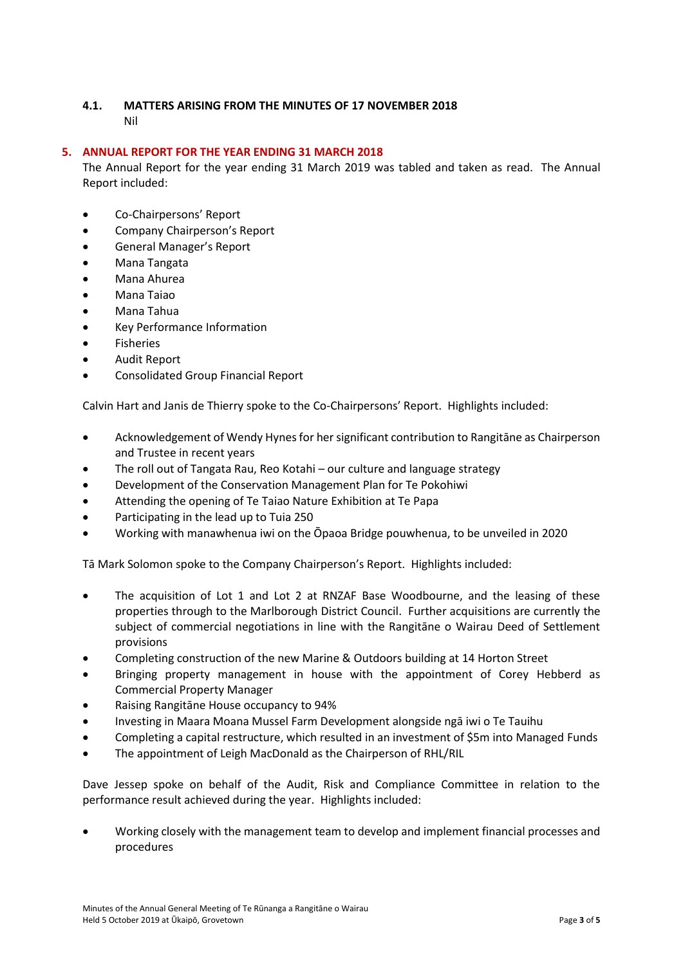# **4.1. MATTERS ARISING FROM THE MINUTES OF 17 NOVEMBER 2018** Nil

# **5. ANNUAL REPORT FOR THE YEAR ENDING 31 MARCH 2018**

The Annual Report for the year ending 31 March 2019 was tabled and taken as read. The Annual Report included:

- Co-Chairpersons' Report
- Company Chairperson's Report
- General Manager's Report
- Mana Tangata
- Mana Ahurea
- Mana Taiao
- Mana Tahua
- Key Performance Information
- **Fisheries**
- Audit Report
- Consolidated Group Financial Report

Calvin Hart and Janis de Thierry spoke to the Co-Chairpersons' Report. Highlights included:

- Acknowledgement of Wendy Hynes for her significant contribution to Rangitāne as Chairperson and Trustee in recent years
- The roll out of Tangata Rau, Reo Kotahi our culture and language strategy
- Development of the Conservation Management Plan for Te Pokohiwi
- Attending the opening of Te Taiao Nature Exhibition at Te Papa
- Participating in the lead up to Tuia 250
- Working with manawhenua iwi on the Ōpaoa Bridge pouwhenua, to be unveiled in 2020

Tā Mark Solomon spoke to the Company Chairperson's Report. Highlights included:

- The acquisition of Lot 1 and Lot 2 at RNZAF Base Woodbourne, and the leasing of these properties through to the Marlborough District Council. Further acquisitions are currently the subject of commercial negotiations in line with the Rangitāne o Wairau Deed of Settlement provisions
- Completing construction of the new Marine & Outdoors building at 14 Horton Street
- Bringing property management in house with the appointment of Corey Hebberd as Commercial Property Manager
- Raising Rangitāne House occupancy to 94%
- Investing in Maara Moana Mussel Farm Development alongside ngā iwi o Te Tauihu
- Completing a capital restructure, which resulted in an investment of \$5m into Managed Funds
- The appointment of Leigh MacDonald as the Chairperson of RHL/RIL

Dave Jessep spoke on behalf of the Audit, Risk and Compliance Committee in relation to the performance result achieved during the year. Highlights included:

• Working closely with the management team to develop and implement financial processes and procedures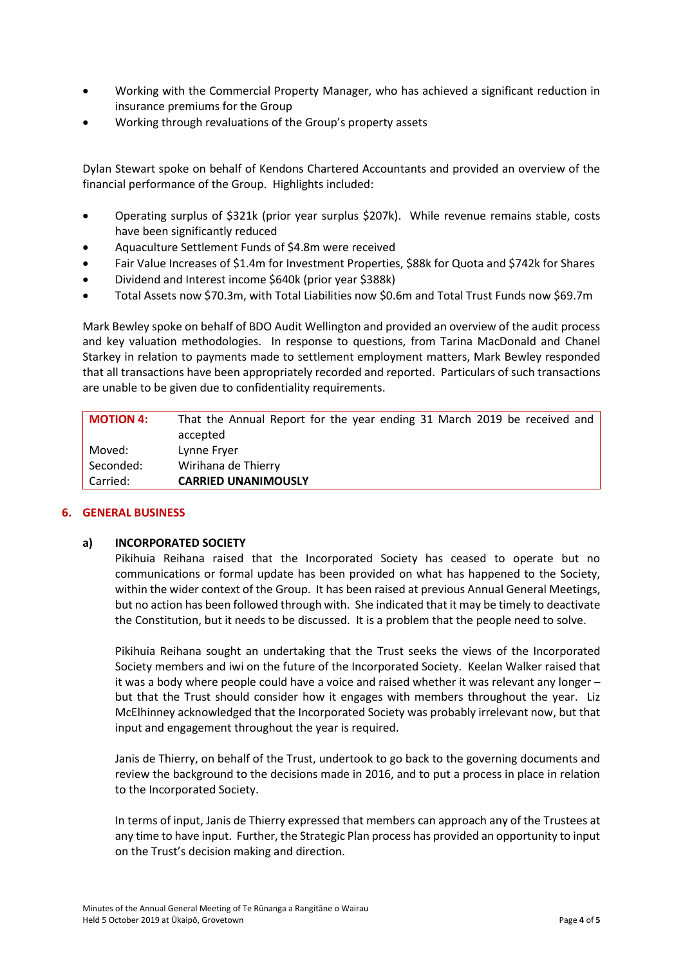- Working with the Commercial Property Manager, who has achieved a significant reduction in insurance premiums for the Group
- Working through revaluations of the Group's property assets

Dylan Stewart spoke on behalf of Kendons Chartered Accountants and provided an overview of the financial performance of the Group. Highlights included:

- Operating surplus of \$321k (prior year surplus \$207k). While revenue remains stable, costs have been significantly reduced
- Aquaculture Settlement Funds of \$4.8m were received
- Fair Value Increases of \$1.4m for Investment Properties, \$88k for Quota and \$742k for Shares
- Dividend and Interest income \$640k (prior year \$388k)
- Total Assets now \$70.3m, with Total Liabilities now \$0.6m and Total Trust Funds now \$69.7m

Mark Bewley spoke on behalf of BDO Audit Wellington and provided an overview of the audit process and key valuation methodologies. In response to questions, from Tarina MacDonald and Chanel Starkey in relation to payments made to settlement employment matters, Mark Bewley responded that all transactions have been appropriately recorded and reported. Particulars of such transactions are unable to be given due to confidentiality requirements.

| Carried:         | <b>CARRIED UNANIMOUSLY</b>                                               |
|------------------|--------------------------------------------------------------------------|
|                  |                                                                          |
| Seconded:        | Wirihana de Thierry                                                      |
| Moved:           | Lynne Fryer                                                              |
|                  | accepted                                                                 |
| <b>MOTION 4:</b> | That the Annual Report for the year ending 31 March 2019 be received and |

## **6. GENERAL BUSINESS**

## **a) INCORPORATED SOCIETY**

Pikihuia Reihana raised that the Incorporated Society has ceased to operate but no communications or formal update has been provided on what has happened to the Society, within the wider context of the Group. It has been raised at previous Annual General Meetings, but no action has been followed through with. She indicated that it may be timely to deactivate the Constitution, but it needs to be discussed. It is a problem that the people need to solve.

Pikihuia Reihana sought an undertaking that the Trust seeks the views of the Incorporated Society members and iwi on the future of the Incorporated Society. Keelan Walker raised that it was a body where people could have a voice and raised whether it was relevant any longer – but that the Trust should consider how it engages with members throughout the year. Liz McElhinney acknowledged that the Incorporated Society was probably irrelevant now, but that input and engagement throughout the year is required.

Janis de Thierry, on behalf of the Trust, undertook to go back to the governing documents and review the background to the decisions made in 2016, and to put a process in place in relation to the Incorporated Society.

In terms of input, Janis de Thierry expressed that members can approach any of the Trustees at any time to have input. Further, the Strategic Plan process has provided an opportunity to input on the Trust's decision making and direction.